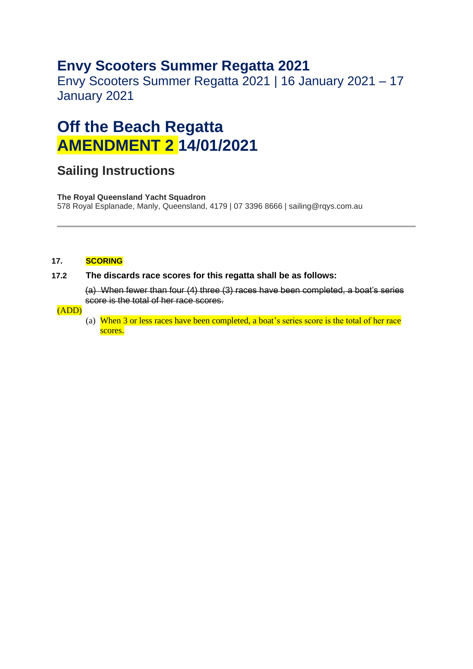### **Envy Scooters Summer Regatta 2021**

Envy Scooters Summer Regatta 2021 | 16 January 2021 – 17 January 2021

# **Off the Beach Regatta AMENDMENT 2 14/01/2021**

### **Sailing Instructions**

**The Royal Queensland Yacht Squadron**  578 Royal Esplanade, Manly, Queensland, 4179 | 07 3396 8666 | sailing@rqys.com.au

#### **17. SCORING**

#### **17.2 The discards race scores for this regatta shall be as follows:**

(a) When fewer than four (4) three (3) races have been completed, a boat's series score is the total of her race scores.

#### (ADD)

(a) When 3 or less races have been completed, a boat's series score is the total of her race scores.